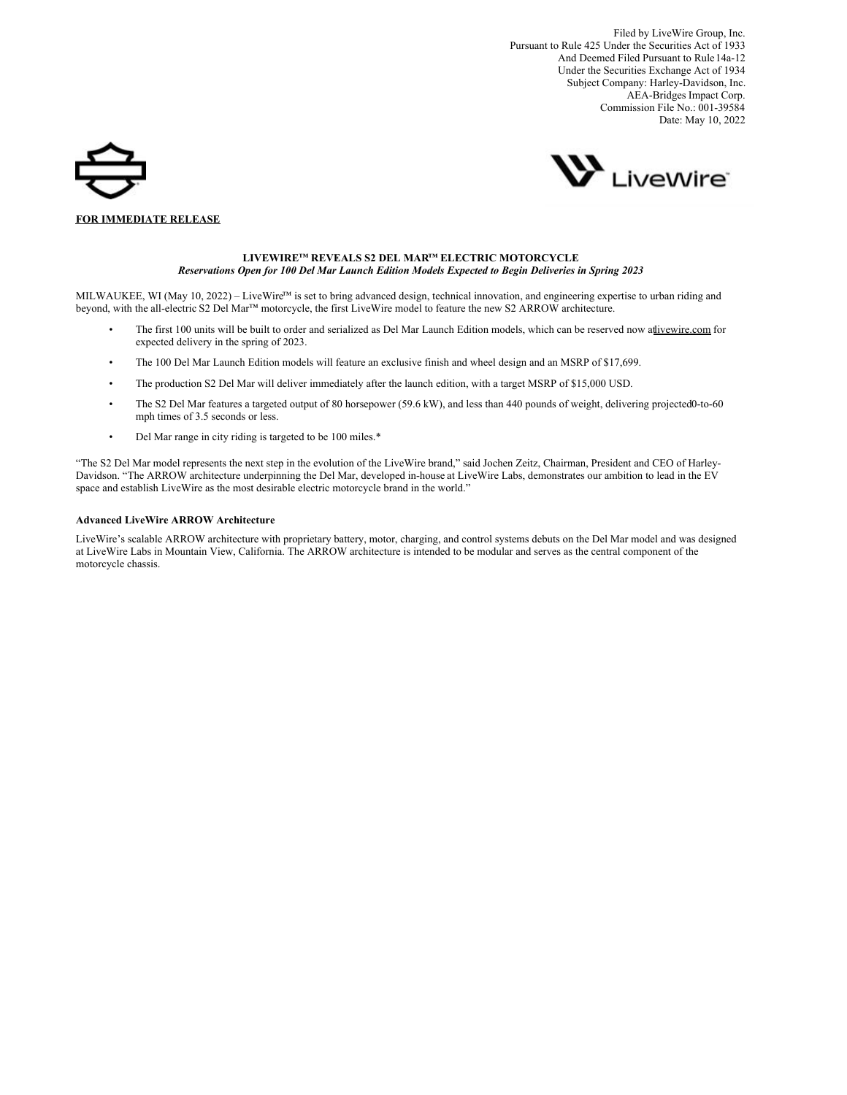Filed by LiveWire Group, Inc. Pursuant to Rule 425 Under the Securities Act of 1933 And Deemed Filed Pursuant to Rule14a-12 Under the Securities Exchange Act of 1934 Subject Company: Harley-Davidson, Inc. AEA-Bridges Impact Corp. Commission File No.: 001-39584 Date: May 10, 2022





# **FOR IMMEDIATE RELEASE**

### **LIVEWIRE™ REVEALS S2 DEL MAR™ ELECTRIC MOTORCYCLE** *Reservations Open for 100 Del Mar Launch Edition Models Expected to Begin Deliveries in Spring 2023*

MILWAUKEE, WI (May 10, 2022) – LiveWire™ is set to bring advanced design, technical innovation, and engineering expertise to urban riding and beyond, with the all-electric S2 Del Mar™ motorcycle, the first LiveWire model to feature the new S2 ARROW architecture.

- The first 100 units will be built to order and serialized as Del Mar Launch Edition models, which can be reserved now atlivewire.com for expected delivery in the spring of 2023.
- The 100 Del Mar Launch Edition models will feature an exclusive finish and wheel design and an MSRP of \$17,699.
- The production S2 Del Mar will deliver immediately after the launch edition, with a target MSRP of \$15,000 USD.
- The S2 Del Mar features a targeted output of 80 horsepower (59.6 kW), and less than 440 pounds of weight, delivering projected0-to-60 mph times of 3.5 seconds or less.
- Del Mar range in city riding is targeted to be 100 miles.\*

"The S2 Del Mar model represents the next step in the evolution of the LiveWire brand," said Jochen Zeitz, Chairman, President and CEO of Harley-Davidson. "The ARROW architecture underpinning the Del Mar, developed in-house at LiveWire Labs, demonstrates our ambition to lead in the EV space and establish LiveWire as the most desirable electric motorcycle brand in the world."

# **Advanced LiveWire ARROW Architecture**

LiveWire's scalable ARROW architecture with proprietary battery, motor, charging, and control systems debuts on the Del Mar model and was designed at LiveWire Labs in Mountain View, California. The ARROW architecture is intended to be modular and serves as the central component of the motorcycle chassis.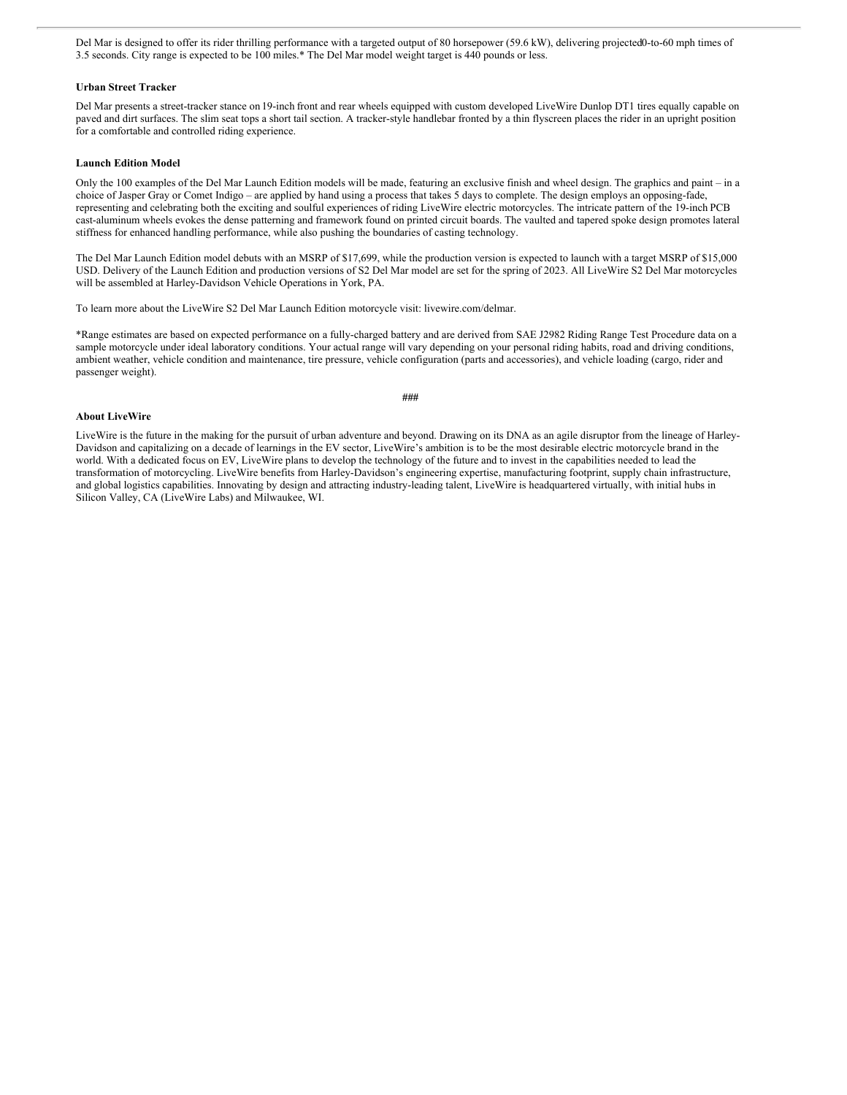Del Mar is designed to offer its rider thrilling performance with a targeted output of 80 horsepower (59.6 kW), delivering projected0-to-60 mph times of 3.5 seconds. City range is expected to be 100 miles.\* The Del Mar model weight target is 440 pounds or less.

#### **Urban Street Tracker**

Del Mar presents a street-tracker stance on 19-inch front and rear wheels equipped with custom developed LiveWire Dunlop DT1 tires equally capable on paved and dirt surfaces. The slim seat tops a short tail section. A tracker-style handlebar fronted by a thin flyscreen places the rider in an upright position for a comfortable and controlled riding experience.

#### **Launch Edition Model**

Only the 100 examples of the Del Mar Launch Edition models will be made, featuring an exclusive finish and wheel design. The graphics and paint – in a choice of Jasper Gray or Comet Indigo – are applied by hand using a process that takes 5 days to complete. The design employs an opposing-fade, representing and celebrating both the exciting and soulful experiences of riding LiveWire electric motorcycles. The intricate pattern of the 19-inch PCB cast-aluminum wheels evokes the dense patterning and framework found on printed circuit boards. The vaulted and tapered spoke design promotes lateral stiffness for enhanced handling performance, while also pushing the boundaries of casting technology.

The Del Mar Launch Edition model debuts with an MSRP of \$17,699, while the production version is expected to launch with a target MSRP of \$15,000 USD. Delivery of the Launch Edition and production versions of S2 Del Mar model are set for the spring of 2023. All LiveWire S2 Del Mar motorcycles will be assembled at Harley-Davidson Vehicle Operations in York, PA.

To learn more about the LiveWire S2 Del Mar Launch Edition motorcycle visit: livewire.com/delmar.

\*Range estimates are based on expected performance on a fully-charged battery and are derived from SAE J2982 Riding Range Test Procedure data on a sample motorcycle under ideal laboratory conditions. Your actual range will vary depending on your personal riding habits, road and driving conditions, ambient weather, vehicle condition and maintenance, tire pressure, vehicle configuration (parts and accessories), and vehicle loading (cargo, rider and passenger weight).

**###**

### **About LiveWire**

LiveWire is the future in the making for the pursuit of urban adventure and beyond. Drawing on its DNA as an agile disruptor from the lineage of Harley-Davidson and capitalizing on a decade of learnings in the EV sector, LiveWire's ambition is to be the most desirable electric motorcycle brand in the world. With a dedicated focus on EV, LiveWire plans to develop the technology of the future and to invest in the capabilities needed to lead the transformation of motorcycling. LiveWire benefits from Harley-Davidson's engineering expertise, manufacturing footprint, supply chain infrastructure, and global logistics capabilities. Innovating by design and attracting industry-leading talent, LiveWire is headquartered virtually, with initial hubs in Silicon Valley, CA (LiveWire Labs) and Milwaukee, WI.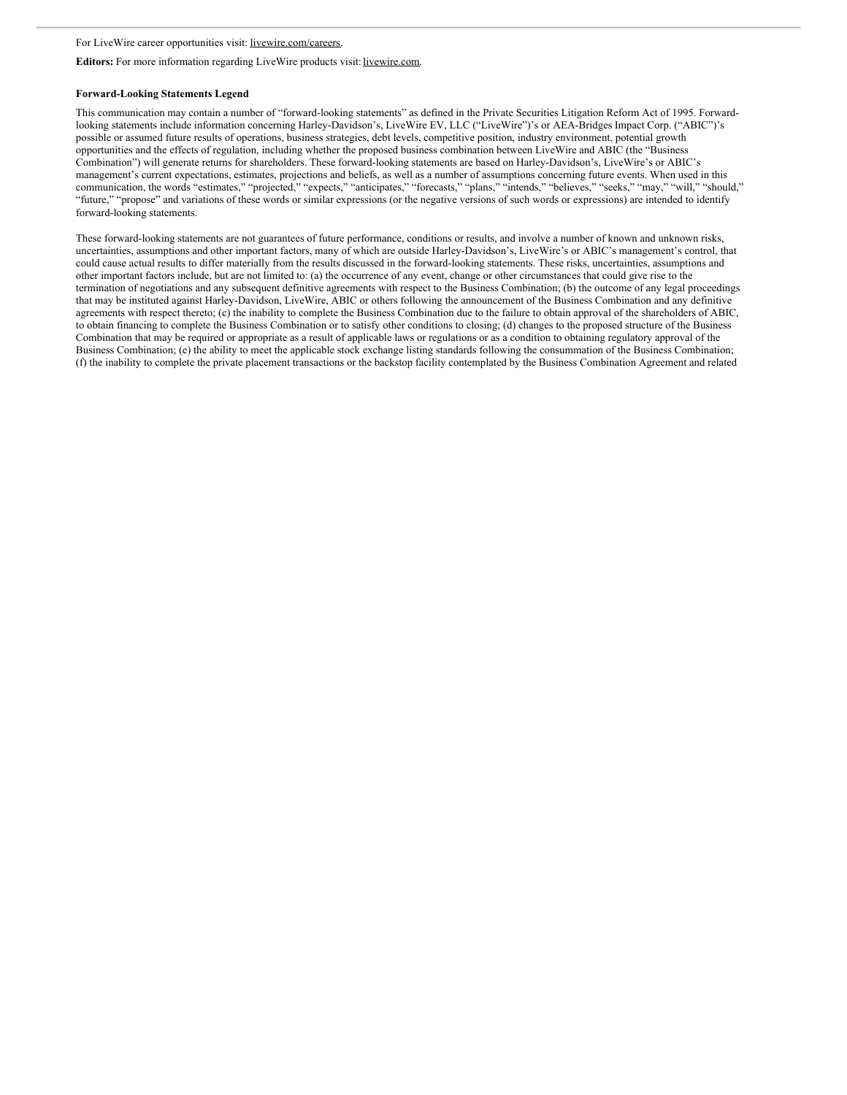For LiveWire career opportunities visit: livewire.com/careers.

# **Editors:** For more information regarding LiveWire products visit: livewire.com.

#### **Forward-Looking Statements Legend**

This communication may contain a number of "forward-looking statements" as defined in the Private Securities Litigation Reform Act of 1995. Forwardlooking statements include information concerning Harley-Davidson's, LiveWire EV, LLC ("LiveWire")'s or AEA-Bridges Impact Corp. ("ABIC")'s possible or assumed future results of operations, business strategies, debt levels, competitive position, industry environment, potential growth opportunities and the effects of regulation, including whether the proposed business combination between LiveWire and ABIC (the "Business Combination") will generate returns for shareholders. These forward-looking statements are based on Harley-Davidson's, LiveWire's or ABIC's management's current expectations, estimates, projections and beliefs, as well as a number of assumptions concerning future events. When used in this communication, the words "estimates," "projected," "expects," "anticipates," "forecasts," "plans," "intends," "believes," "seeks," "may," "will," "should," "future," "propose" and variations of these words or similar expressions (or the negative versions of such words or expressions) are intended to identify forward-looking statements.

These forward-looking statements are not guarantees of future performance, conditions or results, and involve a number of known and unknown risks, uncertainties, assumptions and other important factors, many of which are outside Harley-Davidson's, LiveWire's or ABIC's management's control, that could cause actual results to differ materially from the results discussed in the forward-looking statements. These risks, uncertainties, assumptions and other important factors include, but are not limited to: (a) the occurrence of any event, change or other circumstances that could give rise to the termination of negotiations and any subsequent definitive agreements with respect to the Business Combination; (b) the outcome of any legal proceedings that may be instituted against Harley-Davidson, LiveWire, ABIC or others following the announcement of the Business Combination and any definitive agreements with respect thereto; (c) the inability to complete the Business Combination due to the failure to obtain approval of the shareholders of ABIC, to obtain financing to complete the Business Combination or to satisfy other conditions to closing; (d) changes to the proposed structure of the Business Combination that may be required or appropriate as a result of applicable laws or regulations or as a condition to obtaining regulatory approval of the Business Combination; (e) the ability to meet the applicable stock exchange listing standards following the consummation of the Business Combination; (f) the inability to complete the private placement transactions or the backstop facility contemplated by the Business Combination Agreement and related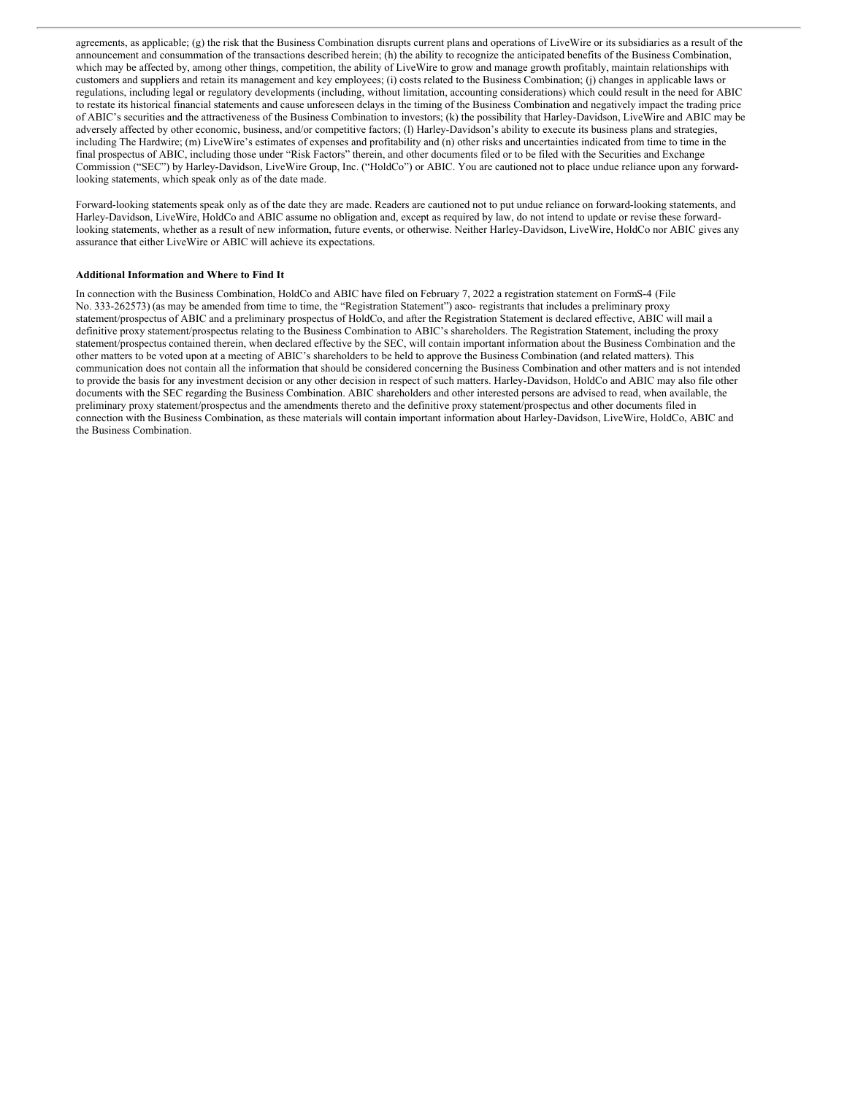agreements, as applicable; (g) the risk that the Business Combination disrupts current plans and operations of LiveWire or its subsidiaries as a result of the announcement and consummation of the transactions described herein; (h) the ability to recognize the anticipated benefits of the Business Combination, which may be affected by, among other things, competition, the ability of LiveWire to grow and manage growth profitably, maintain relationships with customers and suppliers and retain its management and key employees; (i) costs related to the Business Combination; (j) changes in applicable laws or regulations, including legal or regulatory developments (including, without limitation, accounting considerations) which could result in the need for ABIC to restate its historical financial statements and cause unforeseen delays in the timing of the Business Combination and negatively impact the trading price of ABIC's securities and the attractiveness of the Business Combination to investors; (k) the possibility that Harley-Davidson, LiveWire and ABIC may be adversely affected by other economic, business, and/or competitive factors; (l) Harley-Davidson's ability to execute its business plans and strategies, including The Hardwire; (m) LiveWire's estimates of expenses and profitability and (n) other risks and uncertainties indicated from time to time in the final prospectus of ABIC, including those under "Risk Factors" therein, and other documents filed or to be filed with the Securities and Exchange Commission ("SEC") by Harley-Davidson, LiveWire Group, Inc. ("HoldCo") or ABIC. You are cautioned not to place undue reliance upon any forwardlooking statements, which speak only as of the date made.

Forward-looking statements speak only as of the date they are made. Readers are cautioned not to put undue reliance on forward-looking statements, and Harley-Davidson, LiveWire, HoldCo and ABIC assume no obligation and, except as required by law, do not intend to update or revise these forwardlooking statements, whether as a result of new information, future events, or otherwise. Neither Harley-Davidson, LiveWire, HoldCo nor ABIC gives any assurance that either LiveWire or ABIC will achieve its expectations.

### **Additional Information and Where to Find It**

In connection with the Business Combination, HoldCo and ABIC have filed on February 7, 2022 a registration statement on FormS-4 (File No. 333-262573) (as may be amended from time to time, the "Registration Statement") asco- registrants that includes a preliminary proxy statement/prospectus of ABIC and a preliminary prospectus of HoldCo, and after the Registration Statement is declared effective, ABIC will mail a definitive proxy statement/prospectus relating to the Business Combination to ABIC's shareholders. The Registration Statement, including the proxy statement/prospectus contained therein, when declared effective by the SEC, will contain important information about the Business Combination and the other matters to be voted upon at a meeting of ABIC's shareholders to be held to approve the Business Combination (and related matters). This communication does not contain all the information that should be considered concerning the Business Combination and other matters and is not intended to provide the basis for any investment decision or any other decision in respect of such matters. Harley-Davidson, HoldCo and ABIC may also file other documents with the SEC regarding the Business Combination. ABIC shareholders and other interested persons are advised to read, when available, the preliminary proxy statement/prospectus and the amendments thereto and the definitive proxy statement/prospectus and other documents filed in connection with the Business Combination, as these materials will contain important information about Harley-Davidson, LiveWire, HoldCo, ABIC and the Business Combination.